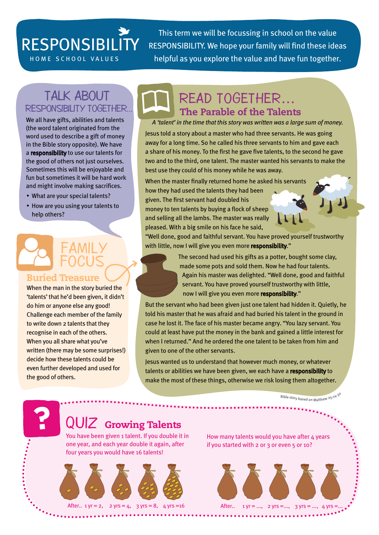## RESPONSIBILITY

This term we will be focussing in school on the value RESPONSIBILITY. We hope your family will find these ideas HOME SCHOOL VALUES helpful as you explore the value and have fun together.

#### Talk about RESPONSIBILITY together...

We all have gifts, abilities and talents (the word talent originated from the word used to describe a gift of money in the Bible story opposite). We have a responsibility to use our talents for the good of others not just ourselves. Sometimes this will be enjoyable and fun but sometimes it will be hard work and might involve making sacrifices.

- What are your special talents?
- How are you using your talents to help others?

### FAMIL FOCU **Buried Treasure**

When the man in the story buried the 'talents' that he'd been given, it didn't do him or anyone else any good! Challenge each member of the family to write down 2 talents that they recognise in each of the others. When you all share what you've written (there may be some surprises!) decide how these talents could be even further developed and used for the good of others.

## The Parable of the Talents Read together…

*A 'talent' in the time that this story was written was a large sum of money.* 

Jesus told a story about a master who had three servants. He was going away for a long time. So he called his three servants to him and gave each a share of his money. To the first he gave five talents, to the second he gave two and to the third, one talent. The master wanted his servants to make the best use they could of his money while he was away.

When the master finally returned home he asked his servants how they had used the talents they had been given. The first servant had doubled his money to ten talents by buying a flock of sheep and selling all the lambs. The master was really

pleased. With a big smile on his face he said,

"Well done, good and faithful servant. You have proved yourself trustworthy with little, now I will give you even more responsibility."

> The second had used his gifts as a potter, bought some clay, made some pots and sold them. Now he had four talents. Again his master was delighted. "Well done, good and faithful servant. You have proved yourself trustworthy with little, now I will give you even more responsibility."

But the servant who had been given just one talent had hidden it. Quietly, he told his master that he was afraid and had buried his talent in the ground in case he lost it. The face of his master became angry. "You lazy servant. You could at least have put the money in the bank and gained a little interest for when I returned." And he ordered the one talent to be taken from him and given to one of the other servants.

Jesus wanted us to understand that however much money, or whatever talents or abilities we have been given, we each have a responsibility to make the most of these things, otherwise we risk losing them altogether.

Bible story based on Matthew 25:14-3

## QUIZ Growing Talents

You have been given 1 talent. If you double it in one year, and each year double it again, after four years you would have 16 talents!







How many talents would you have after 4 years if you started with 2 or 3 or even 5 or 10?